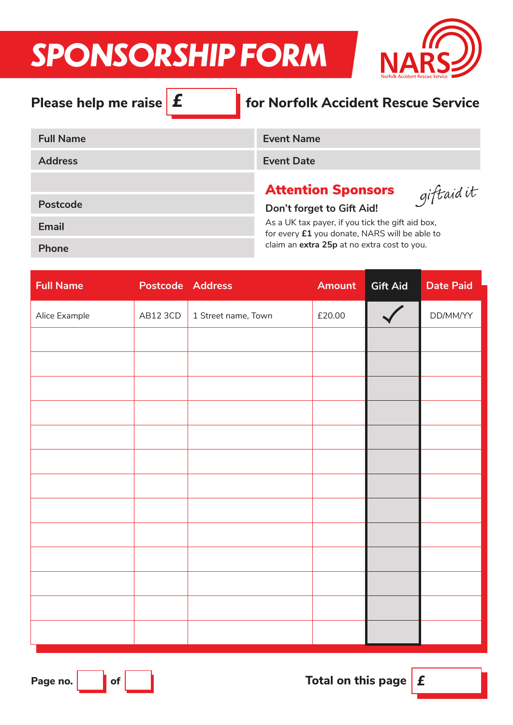# *SPONSORSHIP FORM*



| Please help me raise $\mathbf f$ | for Norfolk Accident Rescue Service                                                               |
|----------------------------------|---------------------------------------------------------------------------------------------------|
| <b>Full Name</b>                 | <b>Event Name</b>                                                                                 |
| <b>Address</b>                   | <b>Event Date</b>                                                                                 |
| Postcode                         | <b>Attention Sponsors</b><br>giftaid it<br>Don't forget to Gift Aid!                              |
| <b>Email</b>                     | As a UK tax payer, if you tick the gift aid box,<br>for every £1 you donate, NARS will be able to |
| <b>Phone</b>                     | claim an extra 25p at no extra cost to you.                                                       |

| <b>Full Name</b> | Postcode Address |                     | <b>Amount</b> | <b>Gift Aid</b> | <b>Date Paid</b> |
|------------------|------------------|---------------------|---------------|-----------------|------------------|
| Alice Example    | AB12 3CD         | 1 Street name, Town | £20.00        |                 | DD/MM/YY         |
|                  |                  |                     |               |                 |                  |
|                  |                  |                     |               |                 |                  |
|                  |                  |                     |               |                 |                  |
|                  |                  |                     |               |                 |                  |
|                  |                  |                     |               |                 |                  |
|                  |                  |                     |               |                 |                  |
|                  |                  |                     |               |                 |                  |
|                  |                  |                     |               |                 |                  |
|                  |                  |                     |               |                 |                  |
|                  |                  |                     |               |                 |                  |
|                  |                  |                     |               |                 |                  |
|                  |                  |                     |               |                 |                  |
|                  |                  |                     |               |                 |                  |

Page no.  $\begin{array}{|c|c|c|}\hline \hspace{.1in} & \hspace{.1in} & \hspace{.1in} & \hspace{.1in} & \hspace{.1in} & \hspace{.1in} & \hspace{.1in} & \hspace{.1in} & \hspace{.1in} & \hspace{.1in} & \hspace{.1in} & \hspace{.1in} & \hspace{.1in} & \hspace{.1in} & \hspace{.1in} & \hspace{.1in} & \hspace{.1in} & \hspace{.1in} & \hspace{.1in} & \hspace{.1in} & \hspace{.1in} & \hspace{.1in}$